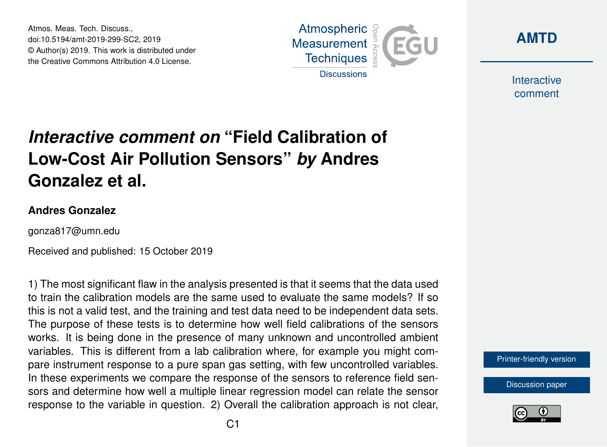Atmos. Meas. Tech. Discuss., doi:10.5194/amt-2019-299-SC2, 2019 © Author(s) 2019. This work is distributed under the Creative Commons Attribution 4.0 License.





Interactive comment

## *Interactive comment on* **"Field Calibration of Low-Cost Air Pollution Sensors"** *by* **Andres Gonzalez et al.**

## **Andres Gonzalez**

gonza817@umn.edu

Received and published: 15 October 2019

1) The most significant flaw in the analysis presented is that it seems that the data used to train the calibration models are the same used to evaluate the same models? If so this is not a valid test, and the training and test data need to be independent data sets. The purpose of these tests is to determine how well field calibrations of the sensors works. It is being done in the presence of many unknown and uncontrolled ambient variables. This is different from a lab calibration where, for example you might compare instrument response to a pure span gas setting, with few uncontrolled variables. In these experiments we compare the response of the sensors to reference field sensors and determine how well a multiple linear regression model can relate the sensor response to the variable in question. 2) Overall the calibration approach is not clear,

[Printer-friendly version](https://www.atmos-meas-tech-discuss.net/amt-2019-299/amt-2019-299-SC2-print.pdf)

[Discussion paper](https://www.atmos-meas-tech-discuss.net/amt-2019-299)